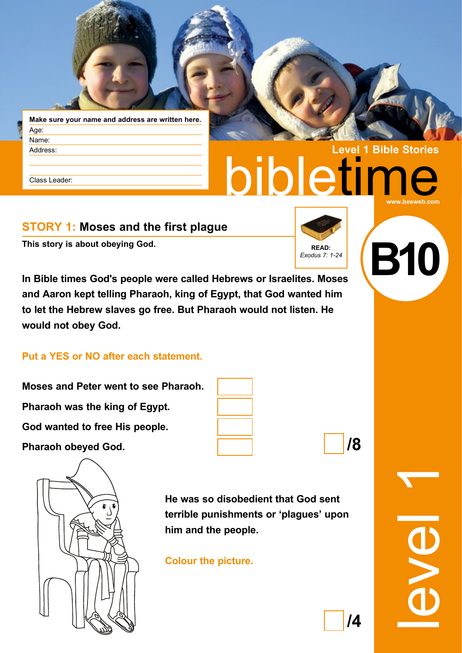

**Make sure your name and address are written here.** Age: Name: Address:

Class Leader:

# **STORY 1: Moses and the first plague**

**This story is about obeying God. READ: READ: READ:** 



**Level 1 Bible Stories**

**B10**

**www.besweb.com**

bibletime

**In Bible times God's people were called Hebrews or Israelites. Moses and Aaron kept telling Pharaoh, king of Egypt, that God wanted him to let the Hebrew slaves go free. But Pharaoh would not listen. He would not obey God.**

## **Put a YES or NO after each statement.**

**Moses and Peter went to see Pharaoh. Pharaoh was the king of Egypt. God wanted to free His people. Pharaoh obeyed God.** 



**/8**

**He was so disobedient that God sent terrible punishments or 'plagues' upon him and the people.**

## **Colour the picture.**

level 1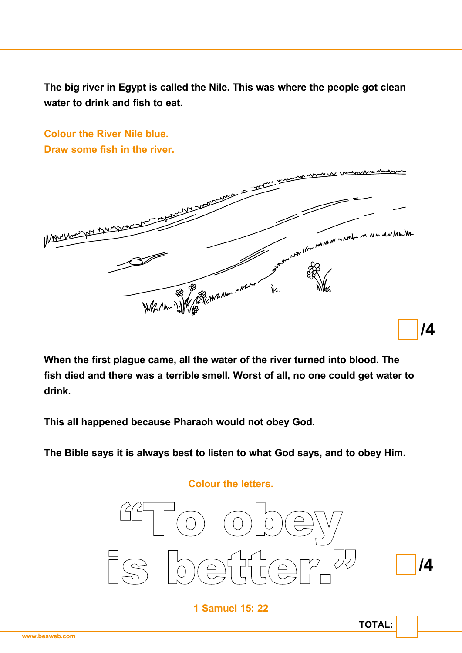**The big river in Egypt is called the Nile. This was where the people got clean water to drink and fish to eat.** 

**Colour the River Nile blue.**



**When the first plague came, all the water of the river turned into blood. The fish died and there was a terrible smell. Worst of all, no one could get water to drink.**

**This all happened because Pharaoh would not obey God.**

**The Bible says it is always best to listen to what God says, and to obey Him.**



**TOTAL:**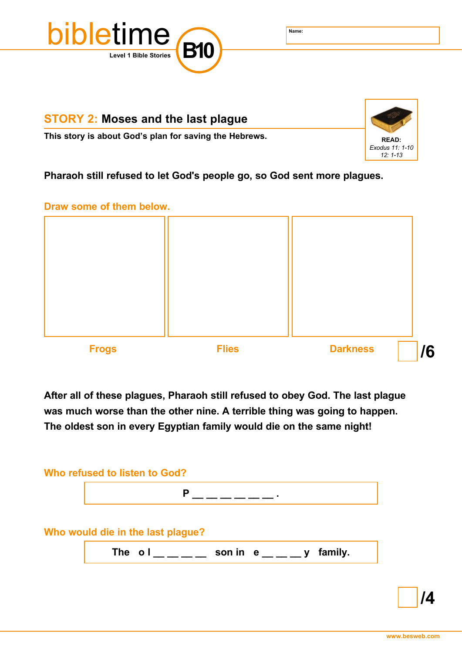

# **STORY 2: Moses and the last plague**

**This story is about God's plan for saving the Hebrews. READ:** READ:



**Pharaoh still refused to let God's people go, so God sent more plagues.**

#### **Draw some of them below.**



**After all of these plagues, Pharaoh still refused to obey God. The last plague was much worse than the other nine. A terrible thing was going to happen. The oldest son in every Egyptian family would die on the same night!**

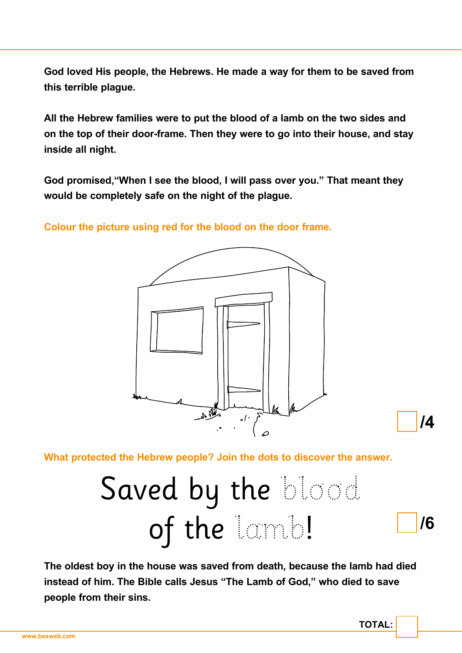**God loved His people, the Hebrews. He made a way for them to be saved from this terrible plague.**

**All the Hebrew families were to put the blood of a lamb on the two sides and on the top of their door-frame. Then they were to go into their house, and stay inside all night.**

**God promised,"When I see the blood, I will pass over you." That meant they would be completely safe on the night of the plague.**

**Colour the picture using red for the blood on the door frame.**



**What protected the Hebrew people? Join the dots to discover the answer.**

# Saved by the blood of the lamb! **/6**

**The oldest boy in the house was saved from death, because the lamb had died instead of him. The Bible calls Jesus "The Lamb of God," who died to save people from their sins.**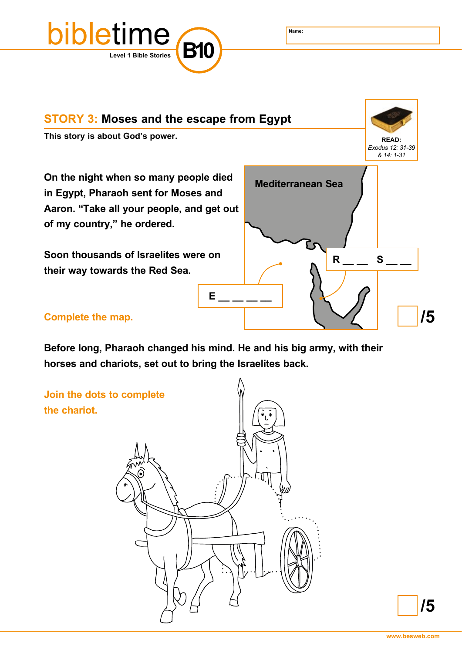

**STORY 3: Moses and the escape from Egypt This story is about God's power. READ: READ: READ: READ:** 



**On the night when so many people died in Egypt, Pharaoh sent for Moses and Aaron. "Take all your people, and get out of my country," he ordered.**

**Soon thousands of Israelites were on their way towards the Red Sea.**



### **Complete the map.**

**Before long, Pharaoh changed his mind. He and his big army, with their horses and chariots, set out to bring the Israelites back.**

**E \_\_ \_\_ \_\_ \_\_**

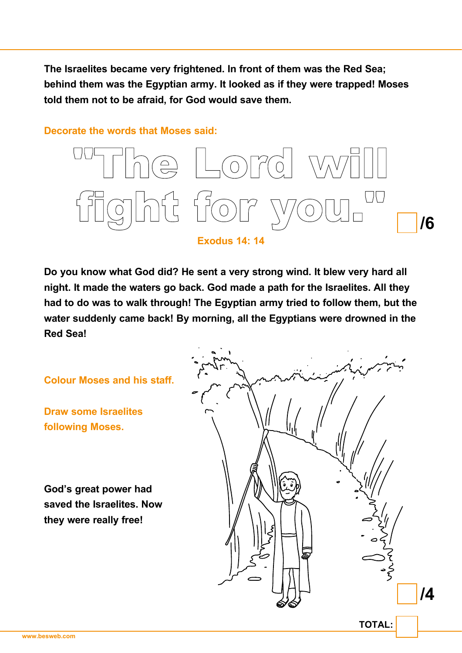**The Israelites became very frightened. In front of them was the Red Sea; behind them was the Egyptian army. It looked as if they were trapped! Moses told them not to be afraid, for God would save them.**

**Decorate the words that Moses said:**



**Exodus 14: 14**

**Do you know what God did? He sent a very strong wind. It blew very hard all night. It made the waters go back. God made a path for the Israelites. All they had to do was to walk through! The Egyptian army tried to follow them, but the water suddenly came back! By morning, all the Egyptians were drowned in the Red Sea!**

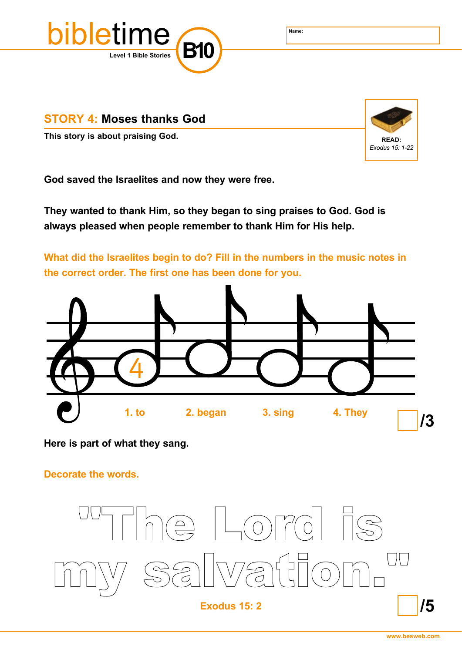

## **STORY 4: Moses thanks God**

**This story is about praising God. READ: READ: READ: READ:** 



**God saved the Israelites and now they were free.**

**They wanted to thank Him, so they began to sing praises to God. God is always pleased when people remember to thank Him for His help.**

**What did the Israelites begin to do? Fill in the numbers in the music notes in the correct order. The first one has been done for you.**



**Here is part of what they sang.**

**Decorate the words.**